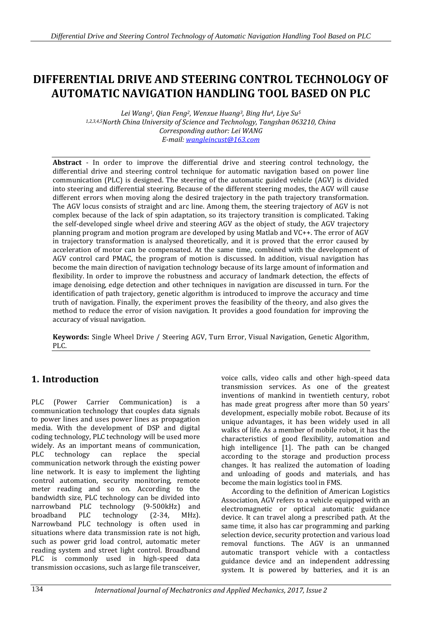# **DIFFERENTIAL DRIVE AND STEERING CONTROL TECHNOLOGY OF AUTOMATIC NAVIGATION HANDLING TOOL BASED ON PLC**

*Lei Wang1, Qian Feng2, Wenxue Huang3, Bing Hu4, Liye Su<sup>5</sup> 1,2,3,4,5North China University of Science and Technology, Tangshan 063210, China Corresponding author: Lei WANG E-mail: [wangleincust@163.com](mailto:wangleincust@163.com)*

**Abstract** - In order to improve the differential drive and steering control technology, the differential drive and steering control technique for automatic navigation based on power line communication (PLC) is designed. The steering of the automatic guided vehicle (AGV) is divided into steering and differential steering. Because of the different steering modes, the AGV will cause different errors when moving along the desired trajectory in the path trajectory transformation. The AGV locus consists of straight and arc line. Among them, the steering trajectory of AGV is not complex because of the lack of spin adaptation, so its trajectory transition is complicated. Taking the self-developed single wheel drive and steering AGV as the object of study, the AGV trajectory planning program and motion program are developed by using Matlab and VC++. The error of AGV in trajectory transformation is analysed theoretically, and it is proved that the error caused by acceleration of motor can be compensated. At the same time, combined with the development of AGV control card PMAC, the program of motion is discussed. In addition, visual navigation has become the main direction of navigation technology because of its large amount of information and flexibility. In order to improve the robustness and accuracy of landmark detection, the effects of image denoising, edge detection and other techniques in navigation are discussed in turn. For the identification of path trajectory, genetic algorithm is introduced to improve the accuracy and time truth of navigation. Finally, the experiment proves the feasibility of the theory, and also gives the method to reduce the error of vision navigation. It provides a good foundation for improving the accuracy of visual navigation.

**Keywords:** Single Wheel Drive / Steering AGV, Turn Error, Visual Navigation, Genetic Algorithm, PLC.

## **1. Introduction**

PLC (Power Carrier Communication) is a communication technology that couples data signals to power lines and uses power lines as propagation media. With the development of DSP and digital coding technology, PLC technology will be used more widely. As an important means of communication, PLC technology can replace the special communication network through the existing power line network. It is easy to implement the lighting control automation, security monitoring, remote meter reading and so on. According to the bandwidth size, PLC technology can be divided into narrowband PLC technology (9-500kHz) and broadband PLC technology (2-34, MHz). Narrowband PLC technology is often used in situations where data transmission rate is not high, such as power grid load control, automatic meter reading system and street light control. Broadband PLC is commonly used in high-speed data transmission occasions, such as large file transceiver, voice calls, video calls and other high-speed data transmission services. As one of the greatest inventions of mankind in twentieth century, robot has made great progress after more than 50 years' development, especially mobile robot. Because of its unique advantages, it has been widely used in all walks of life. As a member of mobile robot, it has the characteristics of good flexibility, automation and high intelligence [1]. The path can be changed according to the storage and production process changes. It has realized the automation of loading and unloading of goods and materials, and has become the main logistics tool in FMS.

According to the definition of American Logistics Association, AGV refers to a vehicle equipped with an electromagnetic or optical automatic guidance device. It can travel along a prescribed path. At the same time, it also has car programming and parking selection device, security protection and various load removal functions. The AGV is an unmanned automatic transport vehicle with a contactless guidance device and an independent addressing system. It is powered by batteries, and it is an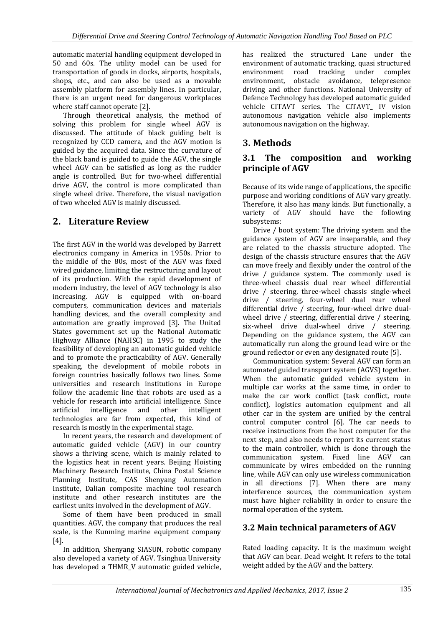automatic material handling equipment developed in 50 and 60s. The utility model can be used for transportation of goods in docks, airports, hospitals, shops, etc., and can also be used as a movable assembly platform for assembly lines. In particular, there is an urgent need for dangerous workplaces where staff cannot operate [2].

Through theoretical analysis, the method of solving this problem for single wheel AGV is discussed. The attitude of black guiding belt is recognized by CCD camera, and the AGV motion is guided by the acquired data. Since the curvature of the black band is guided to guide the AGV, the single wheel AGV can be satisfied as long as the rudder angle is controlled. But for two-wheel differential drive AGV, the control is more complicated than single wheel drive. Therefore, the visual navigation of two wheeled AGV is mainly discussed.

## **2. Literature Review**

The first AGV in the world was developed by Barrett electronics company in America in 1950s. Prior to the middle of the 80s, most of the AGV was fixed wired guidance, limiting the restructuring and layout of its production. With the rapid development of modern industry, the level of AGV technology is also increasing. AGV is equipped with on-board computers, communication devices and materials handling devices, and the overall complexity and automation are greatly improved [3]. The United States government set up the National Automatic Highway Alliance (NAHSC) in 1995 to study the feasibility of developing an automatic guided vehicle and to promote the practicability of AGV. Generally speaking, the development of mobile robots in foreign countries basically follows two lines. Some universities and research institutions in Europe follow the academic line that robots are used as a vehicle for research into artificial intelligence. Since artificial intelligence and other intelligent technologies are far from expected, this kind of research is mostly in the experimental stage.

In recent years, the research and development of automatic guided vehicle (AGV) in our country shows a thriving scene, which is mainly related to the logistics heat in recent years. Beijing Hoisting Machinery Research Institute, China Postal Science Planning Institute, CAS Shenyang Automation Institute, Dalian composite machine tool research institute and other research institutes are the earliest units involved in the development of AGV.

Some of them have been produced in small quantities. AGV, the company that produces the real scale, is the Kunming marine equipment company [4].

In addition, Shenyang SIASUN, robotic company also developed a variety of AGV. Tsinghua University has developed a THMR\_V automatic guided vehicle, has realized the structured Lane under the environment of automatic tracking, quasi structured environment road tracking under complex environment, obstacle avoidance, telepresence driving and other functions. National University of Defence Technology has developed automatic guided vehicle CITAVT series. The CITAVT\_ IV vision autonomous navigation vehicle also implements autonomous navigation on the highway.

## **3. Methods**

#### **3.1 The composition and working principle of AGV**

Because of its wide range of applications, the specific purpose and working conditions of AGV vary greatly. Therefore, it also has many kinds. But functionally, a variety of AGV should have the following subsystems:

Drive / boot system: The driving system and the guidance system of AGV are inseparable, and they are related to the chassis structure adopted. The design of the chassis structure ensures that the AGV can move freely and flexibly under the control of the drive / guidance system. The commonly used is three-wheel chassis dual rear wheel differential drive / steering, three-wheel chassis single-wheel drive / steering, four-wheel dual rear wheel differential drive / steering, four-wheel drive dualwheel drive / steering, differential drive / steering, six-wheel drive dual-wheel drive / steering. Depending on the guidance system, the AGV can automatically run along the ground lead wire or the ground reflector or even any designated route [5].

Communication system: Several AGV can form an automated guided transport system (AGVS) together. When the automatic guided vehicle system in multiple car works at the same time, in order to make the car work conflict (task conflict, route conflict), logistics automation equipment and all other car in the system are unified by the central control computer control [6]. The car needs to receive instructions from the host computer for the next step, and also needs to report its current status to the main controller, which is done through the communication system. Fixed line AGV can communicate by wires embedded on the running line, while AGV can only use wireless communication in all directions [7]. When there are many interference sources, the communication system must have higher reliability in order to ensure the normal operation of the system.

## **3.2 Main technical parameters of AGV**

Rated loading capacity. It is the maximum weight that AGV can bear. Dead weight. It refers to the total weight added by the AGV and the battery.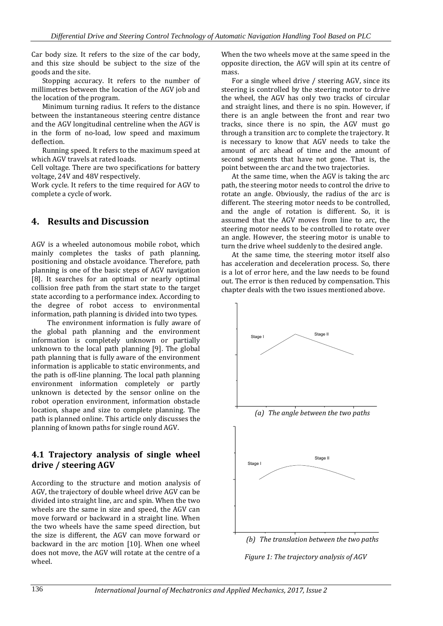Car body size. It refers to the size of the car body, and this size should be subject to the size of the goods and the site.

Stopping accuracy. It refers to the number of millimetres between the location of the AGV job and the location of the program.

Minimum turning radius. It refers to the distance between the instantaneous steering centre distance and the AGV longitudinal centreline when the AGV is in the form of no-load, low speed and maximum deflection.

Running speed. It refers to the maximum speed at which AGV travels at rated loads.

Cell voltage. There are two specifications for battery voltage, 24V and 48V respectively.

Work cycle. It refers to the time required for AGV to complete a cycle of work.

## **4. Results and Discussion**

AGV is a wheeled autonomous mobile robot, which mainly completes the tasks of path planning, positioning and obstacle avoidance. Therefore, path planning is one of the basic steps of AGV navigation [8]. It searches for an optimal or nearly optimal collision free path from the start state to the target state according to a performance index. According to the degree of robot access to environmental information, path planning is divided into two types.

The environment information is fully aware of the global path planning and the environment information is completely unknown or partially unknown to the local path planning [9]. The global path planning that is fully aware of the environment information is applicable to static environments, and the path is off-line planning. The local path planning environment information completely or partly unknown is detected by the sensor online on the robot operation environment, information obstacle location, shape and size to complete planning. The path is planned online. This article only discusses the planning of known paths for single round AGV.

#### **4.1 Trajectory analysis of single wheel drive / steering AGV**

According to the structure and motion analysis of AGV, the trajectory of double wheel drive AGV can be divided into straight line, arc and spin. When the two wheels are the same in size and speed, the AGV can move forward or backward in a straight line. When the two wheels have the same speed direction, but the size is different, the AGV can move forward or backward in the arc motion [10]. When one wheel does not move, the AGV will rotate at the centre of a wheel.

When the two wheels move at the same speed in the opposite direction, the AGV will spin at its centre of mass.

For a single wheel drive / steering AGV, since its steering is controlled by the steering motor to drive the wheel, the AGV has only two tracks of circular and straight lines, and there is no spin. However, if there is an angle between the front and rear two tracks, since there is no spin, the AGV must go through a transition arc to complete the trajectory. It is necessary to know that AGV needs to take the amount of arc ahead of time and the amount of second segments that have not gone. That is, the point between the arc and the two trajectories.

At the same time, when the AGV is taking the arc path, the steering motor needs to control the drive to rotate an angle. Obviously, the radius of the arc is different. The steering motor needs to be controlled, and the angle of rotation is different. So, it is assumed that the AGV moves from line to arc, the steering motor needs to be controlled to rotate over an angle. However, the steering motor is unable to turn the drive wheel suddenly to the desired angle.

At the same time, the steering motor itself also has acceleration and deceleration process. So, there is a lot of error here, and the law needs to be found out. The error is then reduced by compensation. This chapter deals with the two issues mentioned above.



*Figure 1: The trajectory analysis of AGV*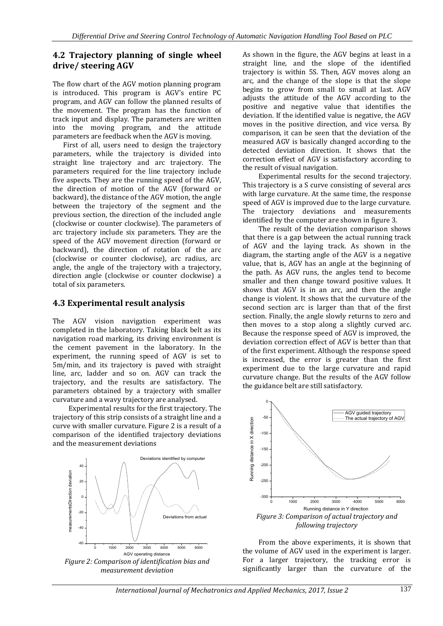#### **4.2 Trajectory planning of single wheel drive/ steering AGV**

The flow chart of the AGV motion planning program is introduced. This program is AGV's entire PC program, and AGV can follow the planned results of the movement. The program has the function of track input and display. The parameters are written into the moving program, and the attitude parameters are feedback when the AGV is moving.

First of all, users need to design the trajectory parameters, while the trajectory is divided into straight line trajectory and arc trajectory. The parameters required for the line trajectory include five aspects. They are the running speed of the AGV, the direction of motion of the AGV (forward or backward), the distance of the AGV motion, the angle between the trajectory of the segment and the previous section, the direction of the included angle (clockwise or counter clockwise). The parameters of arc trajectory include six parameters. They are the speed of the AGV movement direction (forward or backward), the direction of rotation of the arc (clockwise or counter clockwise), arc radius, arc angle, the angle of the trajectory with a trajectory, direction angle (clockwise or counter clockwise) a total of six parameters.

#### **4.3 Experimental result analysis**

The AGV vision navigation experiment was completed in the laboratory. Taking black belt as its navigation road marking, its driving environment is the cement pavement in the laboratory. In the experiment, the running speed of AGV is set to 5m/min, and its trajectory is paved with straight line, arc, ladder and so on. AGV can track the trajectory, and the results are satisfactory. The parameters obtained by a trajectory with smaller curvature and a wavy trajectory are analysed.

Experimental results for the first trajectory. The trajectory of this strip consists of a straight line and a curve with smaller curvature. Figure 2 is a result of a comparison of the identified trajectory deviations and the measurement deviations



As shown in the figure, the AGV begins at least in a straight line, and the slope of the identified trajectory is within 5S. Then, AGV moves along an arc, and the change of the slope is that the slope begins to grow from small to small at last. AGV adjusts the attitude of the AGV according to the positive and negative value that identifies the deviation. If the identified value is negative, the AGV moves in the positive direction, and vice versa. By comparison, it can be seen that the deviation of the measured AGV is basically changed according to the detected deviation direction. It shows that the correction effect of AGV is satisfactory according to the result of visual navigation.

Experimental results for the second trajectory. This trajectory is a S curve consisting of several arcs with large curvature. At the same time, the response speed of AGV is improved due to the large curvature. The trajectory deviations and measurements identified by the computer are shown in figure 3.

The result of the deviation comparison shows that there is a gap between the actual running track of AGV and the laying track. As shown in the diagram, the starting angle of the AGV is a negative value, that is, AGV has an angle at the beginning of the path. As AGV runs, the angles tend to become smaller and then change toward positive values. It shows that AGV is in an arc, and then the angle change is violent. It shows that the curvature of the second section arc is larger than that of the first section. Finally, the angle slowly returns to zero and then moves to a stop along a slightly curved arc. Because the response speed of AGV is improved, the deviation correction effect of AGV is better than that of the first experiment. Although the response speed is increased, the error is greater than the first experiment due to the large curvature and rapid curvature change. But the results of the AGV follow the guidance belt are still satisfactory.



From the above experiments, it is shown that the volume of AGV used in the experiment is larger. For a larger trajectory, the tracking error is significantly larger than the curvature of the

*International Journal of Mechatronics and Applied Mechanics, 2017, Issue 2* 137